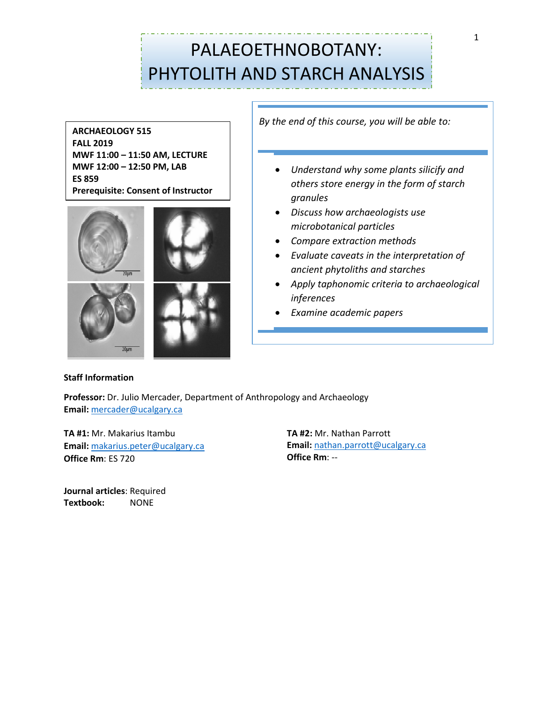# PALAEOETHNOBOTANY: PHYTOLITH AND STARCH ANALYSIS

**ARCHAEOLOGY 515 FALL 2019 MWF 11:00 – 11:50 AM, LECTURE MWF 12:00 – 12:50 PM, LAB ES 859 Prerequisite: Consent of Instructor**



*By the end of this course, you will be able to:*

- *Understand why some plants silicify and others store energy in the form of starch granules*
- *Discuss how archaeologists use microbotanical particles*
- *Compare extraction methods*
- *Evaluate caveats in the interpretation of ancient phytoliths and starches*
- *Apply taphonomic criteria to archaeological inferences*
- *Examine academic papers*

# **Staff Information**

**Professor:** Dr. Julio Mercader, Department of Anthropology and Archaeology **Email:** [mercader@ucalgary.ca](mailto:mercader@ucalgary.ca)

**TA #1:** Mr. Makarius Itambu **Email:** [makarius.peter@ucalgary.ca](mailto:makarius.peter@ucalgary.ca)  **Office Rm**: ES 720

**Journal articles**: Required **Textbook:** NONE

**TA #2:** Mr. Nathan Parrott **Email:** [nathan.parrott@ucalgary.ca](mailto:nathan.parrott@ucalgary.ca) **Office Rm**: --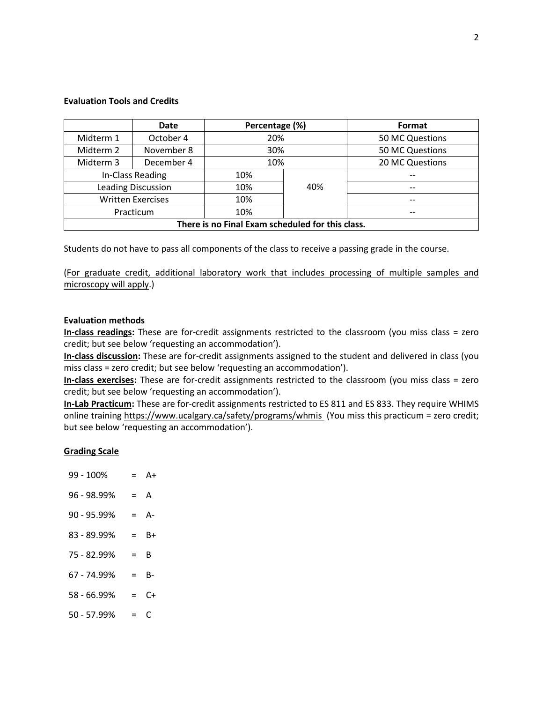#### **Evaluation Tools and Credits**

|                                                  | <b>Date</b> | Percentage (%) |     | Format          |  |  |
|--------------------------------------------------|-------------|----------------|-----|-----------------|--|--|
| Midterm 1                                        | October 4   | 20%            |     | 50 MC Questions |  |  |
| Midterm 2                                        | November 8  | 30%            |     | 50 MC Questions |  |  |
| Midterm 3                                        | December 4  | 10%            |     | 20 MC Questions |  |  |
| In-Class Reading                                 |             | 10%            |     |                 |  |  |
| <b>Leading Discussion</b>                        |             | 10%            | 40% | $-$             |  |  |
| <b>Written Exercises</b>                         |             | 10%            |     | $-$             |  |  |
| Practicum                                        |             | 10%            |     |                 |  |  |
| There is no Final Exam scheduled for this class. |             |                |     |                 |  |  |

Students do not have to pass all components of the class to receive a passing grade in the course.

(For graduate credit, additional laboratory work that includes processing of multiple samples and microscopy will apply.)

#### **Evaluation methods**

**In-class readings:** These are for-credit assignments restricted to the classroom (you miss class = zero credit; but see below 'requesting an accommodation').

**In-class discussion:** These are for-credit assignments assigned to the student and delivered in class (you miss class = zero credit; but see below 'requesting an accommodation').

**In-class exercises:** These are for-credit assignments restricted to the classroom (you miss class = zero credit; but see below 'requesting an accommodation').

**In-Lab Practicum:** These are for-credit assignments restricted to ES 811 and ES 833. They require WHIMS online training<https://www.ucalgary.ca/safety/programs/whmis> (You miss this practicum = zero credit; but see below 'requesting an accommodation').

## **Grading Scale**

99 - 100% = A+  $96 - 98.99\% = A$  $90 - 95.99\% = A$ 83 - 89.99% = B+  $75 - 82.99\% = B$  $67 - 74.99\% = B$ 58 - 66.99% = C+  $50 - 57.99\% = C$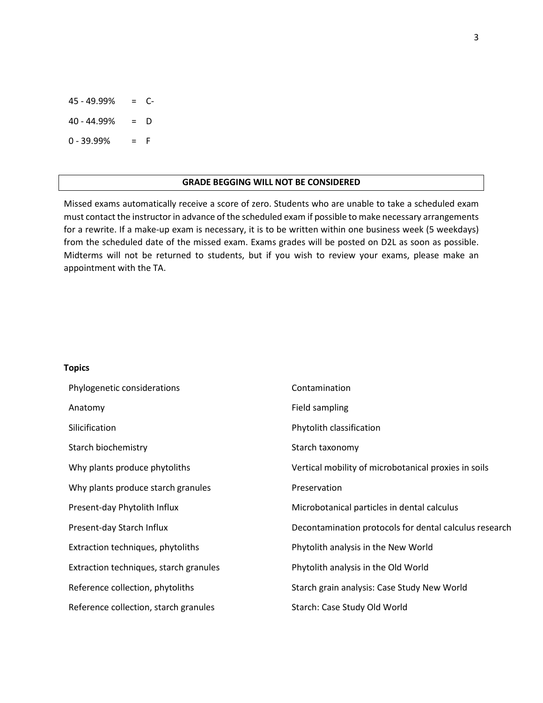45 - 49.99% = C- $40 - 44.99% = D$  $0 - 39.99% = F$ 

#### **GRADE BEGGING WILL NOT BE CONSIDERED**

Missed exams automatically receive a score of zero. Students who are unable to take a scheduled exam must contact the instructor in advance of the scheduled exam if possible to make necessary arrangements for a rewrite. If a make-up exam is necessary, it is to be written within one business week (5 weekdays) from the scheduled date of the missed exam. Exams grades will be posted on D2L as soon as possible. Midterms will not be returned to students, but if you wish to review your exams, please make an appointment with the TA.

#### **Topics**

| Phylogenetic considerations            | Contamination                                          |
|----------------------------------------|--------------------------------------------------------|
| Anatomy                                | Field sampling                                         |
| Silicification                         | Phytolith classification                               |
| Starch biochemistry                    | Starch taxonomy                                        |
| Why plants produce phytoliths          | Vertical mobility of microbotanical proxies in soils   |
| Why plants produce starch granules     | Preservation                                           |
| Present-day Phytolith Influx           | Microbotanical particles in dental calculus            |
| Present-day Starch Influx              | Decontamination protocols for dental calculus research |
| Extraction techniques, phytoliths      | Phytolith analysis in the New World                    |
| Extraction techniques, starch granules | Phytolith analysis in the Old World                    |
| Reference collection, phytoliths       | Starch grain analysis: Case Study New World            |
| Reference collection, starch granules  | Starch: Case Study Old World                           |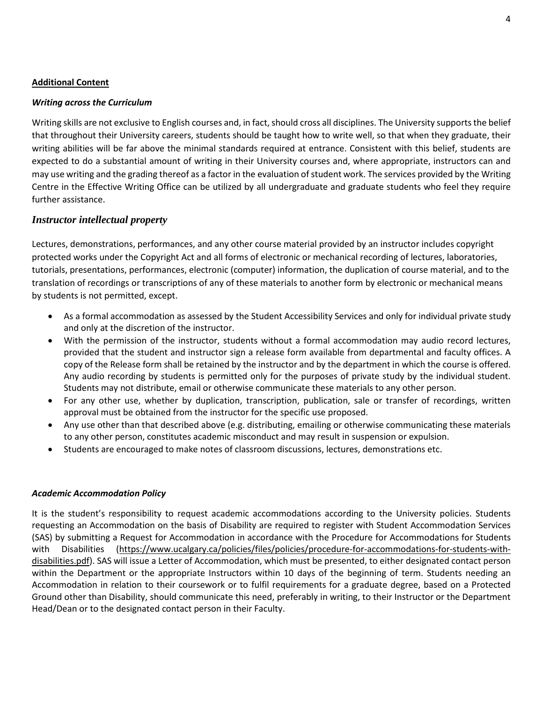# **Additional Content**

## *Writing across the Curriculum*

Writing skills are not exclusive to English courses and, in fact, should cross all disciplines. The University supports the belief that throughout their University careers, students should be taught how to write well, so that when they graduate, their writing abilities will be far above the minimal standards required at entrance. Consistent with this belief, students are expected to do a substantial amount of writing in their University courses and, where appropriate, instructors can and may use writing and the grading thereof as a factor in the evaluation of student work. The services provided by the Writing Centre in the Effective Writing Office can be utilized by all undergraduate and graduate students who feel they require further assistance.

# *Instructor intellectual property*

Lectures, demonstrations, performances, and any other course material provided by an instructor includes copyright protected works under the Copyright Act and all forms of electronic or mechanical recording of lectures, laboratories, tutorials, presentations, performances, electronic (computer) information, the duplication of course material, and to the translation of recordings or transcriptions of any of these materials to another form by electronic or mechanical means by students is not permitted, except.

- As a formal accommodation as assessed by the Student Accessibility Services and only for individual private study and only at the discretion of the instructor.
- With the permission of the instructor, students without a formal accommodation may audio record lectures, provided that the student and instructor sign a release form available from departmental and faculty offices. A copy of the Release form shall be retained by the instructor and by the department in which the course is offered. Any audio recording by students is permitted only for the purposes of private study by the individual student. Students may not distribute, email or otherwise communicate these materials to any other person.
- For any other use, whether by duplication, transcription, publication, sale or transfer of recordings, written approval must be obtained from the instructor for the specific use proposed.
- Any use other than that described above (e.g. distributing, emailing or otherwise communicating these materials to any other person, constitutes academic misconduct and may result in suspension or expulsion.
- Students are encouraged to make notes of classroom discussions, lectures, demonstrations etc.

## *Academic Accommodation Policy*

It is the student's responsibility to request academic accommodations according to the University policies. Students requesting an Accommodation on the basis of Disability are required to register with Student Accommodation Services (SAS) by submitting a Request for Accommodation in accordance with the Procedure for Accommodations for Students with Disabilities [\(https://www.ucalgary.ca/policies/files/policies/procedure-for-accommodations-for-students-with](https://www.ucalgary.ca/policies/files/policies/procedure-for-accommodations-for-students-with-disabilities.pdf)[disabilities.pdf\)](https://www.ucalgary.ca/policies/files/policies/procedure-for-accommodations-for-students-with-disabilities.pdf). SAS will issue a Letter of Accommodation, which must be presented, to either designated contact person within the Department or the appropriate Instructors within 10 days of the beginning of term. Students needing an Accommodation in relation to their coursework or to fulfil requirements for a graduate degree, based on a Protected Ground other than Disability, should communicate this need, preferably in writing, to their Instructor or the Department Head/Dean or to the designated contact person in their Faculty.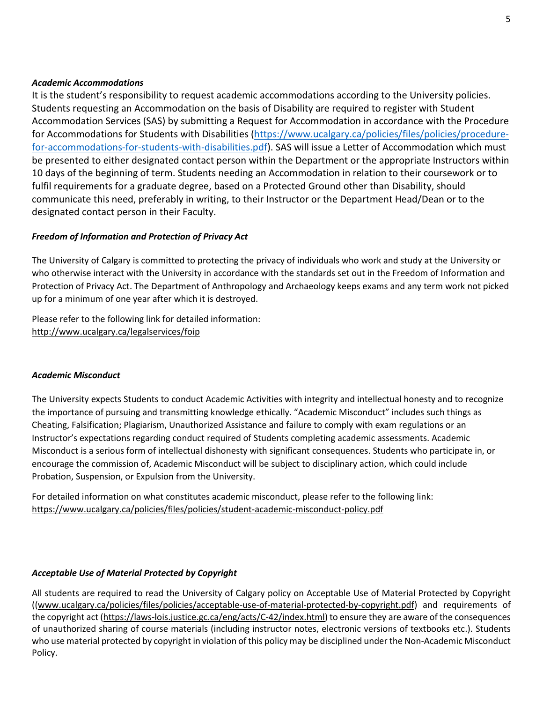# *Academic Accommodations*

It is the student's responsibility to request academic accommodations according to the University policies. Students requesting an Accommodation on the basis of Disability are required to register with Student Accommodation Services (SAS) by submitting a Request for Accommodation in accordance with the Procedure for Accommodations for Students with Disabilities [\(https://www.ucalgary.ca/policies/files/policies/procedure](https://www.ucalgary.ca/policies/files/policies/procedure-for-accommodations-for-students-with-disabilities.pdf)[for-accommodations-for-students-with-disabilities.pdf\)](https://www.ucalgary.ca/policies/files/policies/procedure-for-accommodations-for-students-with-disabilities.pdf). SAS will issue a Letter of Accommodation which must be presented to either designated contact person within the Department or the appropriate Instructors within 10 days of the beginning of term. Students needing an Accommodation in relation to their coursework or to fulfil requirements for a graduate degree, based on a Protected Ground other than Disability, should communicate this need, preferably in writing, to their Instructor or the Department Head/Dean or to the designated contact person in their Faculty.

# *Freedom of Information and Protection of Privacy Act*

The University of Calgary is committed to protecting the privacy of individuals who work and study at the University or who otherwise interact with the University in accordance with the standards set out in the Freedom of Information and Protection of Privacy Act. The Department of Anthropology and Archaeology keeps exams and any term work not picked up for a minimum of one year after which it is destroyed.

Please refer to the following link for detailed information: <http://www.ucalgary.ca/legalservices/foip>

## *Academic Misconduct*

The University expects Students to conduct Academic Activities with integrity and intellectual honesty and to recognize the importance of pursuing and transmitting knowledge ethically. "Academic Misconduct" includes such things as Cheating, Falsification; Plagiarism, Unauthorized Assistance and failure to comply with exam regulations or an Instructor's expectations regarding conduct required of Students completing academic assessments. Academic Misconduct is a serious form of intellectual dishonesty with significant consequences. Students who participate in, or encourage the commission of, Academic Misconduct will be subject to disciplinary action, which could include Probation, Suspension, or Expulsion from the University.

For detailed information on what constitutes academic misconduct, please refer to the following link: <https://www.ucalgary.ca/policies/files/policies/student-academic-misconduct-policy.pdf>

## *Acceptable Use of Material Protected by Copyright*

All students are required to read the University of Calgary policy on Acceptable Use of Material Protected by Copyright ([\(www.ucalgary.ca/policies/files/policies/acceptable-use-of-material-protected-by-copyright.pdf\)](http://www.ucalgary.ca/policies/files/policies/acceptable-use-of-material-protected-by-copyright.pdf) and requirements of the copyright act [\(https://laws-lois.justice.gc.ca/eng/acts/C-42/index.html\)](https://laws-lois.justice.gc.ca/eng/acts/C-42/index.html) to ensure they are aware of the consequences of unauthorized sharing of course materials (including instructor notes, electronic versions of textbooks etc.). Students who use material protected by copyright in violation of this policy may be disciplined under the Non-Academic Misconduct Policy.